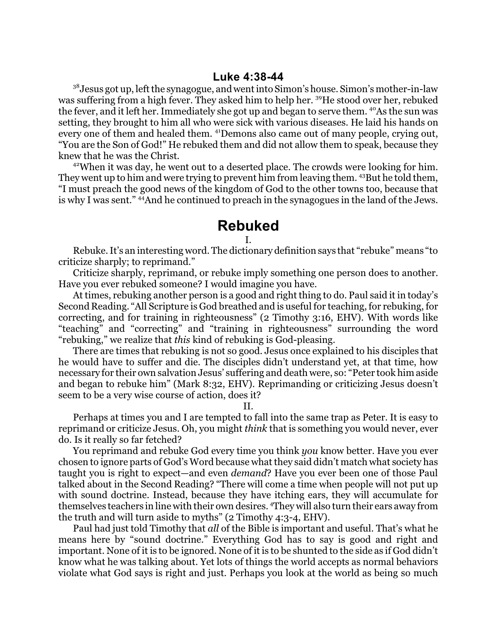$3^8$ Jesus got up, left the synagogue, and went into Simon's house. Simon's mother-in-law was suffering from a high fever. They asked him to help her. <sup>39</sup>He stood over her, rebuked the fever, and it left her. Immediately she got up and began to serve them. <sup>40</sup>As the sun was setting, they brought to him all who were sick with various diseases. He laid his hands on every one of them and healed them. <sup>41</sup>Demons also came out of many people, crying out, "You are the Son of God!" He rebuked them and did not allow them to speak, because they knew that he was the Christ.

<sup>42</sup>When it was day, he went out to a deserted place. The crowds were looking for him. They went up to him and were trying to prevent him from leaving them. <sup>43</sup>But he told them, "I must preach the good news of the kingdom of God to the other towns too, because that is why I was sent." <sup>44</sup>And he continued to preach in the synagogues in the land of the Jews.

## **Rebuked**

I.

Rebuke. It's an interesting word. The dictionary definition says that "rebuke" means "to criticize sharply; to reprimand."

Criticize sharply, reprimand, or rebuke imply something one person does to another. Have you ever rebuked someone? I would imagine you have.

At times, rebuking another person is a good and right thing to do. Paul said it in today's Second Reading. "All Scripture is God breathed and is useful for teaching, for rebuking, for correcting, and for training in righteousness" (2 Timothy 3:16, EHV). With words like "teaching" and "correcting" and "training in righteousness" surrounding the word "rebuking," we realize that *this* kind of rebuking is God-pleasing.

There are times that rebuking is not so good. Jesus once explained to his disciples that he would have to suffer and die. The disciples didn't understand yet, at that time, how necessary for their own salvation Jesus' suffering and death were, so: "Peter took him aside and began to rebuke him" (Mark 8:32, EHV). Reprimanding or criticizing Jesus doesn't seem to be a very wise course of action, does it?

II.

Perhaps at times you and I are tempted to fall into the same trap as Peter. It is easy to reprimand or criticize Jesus. Oh, you might *think* that is something you would never, ever do. Is it really so far fetched?

You reprimand and rebuke God every time you think *you* know better. Have you ever chosen to ignore parts of God's Word because what they said didn't match what society has taught you is right to expect—and even *demand*? Have you ever been one of those Paul talked about in the Second Reading? "There will come a time when people will not put up with sound doctrine. Instead, because they have itching ears, they will accumulate for themselves teachers in line with their own desires. <sup>4</sup>They will also turn their ears away from the truth and will turn aside to myths" (2 Timothy 4:3-4, EHV).

Paul had just told Timothy that *all* of the Bible is important and useful. That's what he means here by "sound doctrine." Everything God has to say is good and right and important. None of it is to be ignored. None of it is to be shunted to the side as if God didn't know what he was talking about. Yet lots of things the world accepts as normal behaviors violate what God says is right and just. Perhaps you look at the world as being so much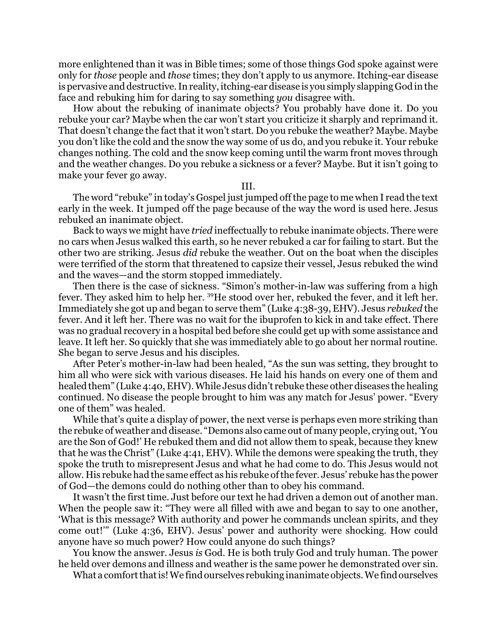more enlightened than it was in Bible times; some of those things God spoke against were only for *those* people and *those* times; they don't apply to us anymore. Itching-ear disease is pervasive and destructive. In reality, itching-ear disease is yousimply slapping God in the face and rebuking him for daring to say something *you* disagree with.

How about the rebuking of inanimate objects? You probably have done it. Do you rebuke your car? Maybe when the car won't start you criticize it sharply and reprimand it. That doesn't change the fact that it won't start. Do you rebuke the weather? Maybe. Maybe you don't like the cold and the snow the way some of us do, and you rebuke it. Your rebuke changes nothing. The cold and the snow keep coming until the warm front moves through and the weather changes. Do you rebuke a sickness or a fever? Maybe. But it isn't going to make your fever go away.

III.

The word "rebuke" in today's Gospel just jumped offthe page to me when I read the text early in the week. It jumped off the page because of the way the word is used here. Jesus rebuked an inanimate object.

Back to ways we might have *tried* ineffectually to rebuke inanimate objects. There were no cars when Jesus walked this earth, so he never rebuked a car for failing to start. But the other two are striking. Jesus *did* rebuke the weather. Out on the boat when the disciples were terrified of the storm that threatened to capsize their vessel, Jesus rebuked the wind and the waves—and the storm stopped immediately.

Then there is the case of sickness. "Simon's mother-in-law was suffering from a high fever. They asked him to help her. <sup>39</sup>He stood over her, rebuked the fever, and it left her. Immediately she got up and began to serve them" (Luke 4:38-39, EHV). Jesus *rebuked* the fever. And it left her. There was no wait for the ibuprofen to kick in and take effect. There was no gradual recovery in a hospital bed before she could get up with some assistance and leave. It left her. So quickly that she was immediately able to go about her normal routine. She began to serve Jesus and his disciples.

After Peter's mother-in-law had been healed, "As the sun was setting, they brought to him all who were sick with various diseases. He laid his hands on every one of them and healed them" (Luke 4:40, EHV). While Jesus didn't rebuke these other diseases the healing continued. No disease the people brought to him was any match for Jesus' power. "Every one of them" was healed.

While that's quite a display of power, the next verse is perhaps even more striking than the rebuke of weather and disease. "Demons also came out of many people, crying out, 'You are the Son of God!' He rebuked them and did not allow them to speak, because they knew that he was the Christ" (Luke 4:41, EHV). While the demons were speaking the truth, they spoke the truth to misrepresent Jesus and what he had come to do. This Jesus would not allow. His rebuke had the same effect as his rebuke ofthe fever. Jesus' rebuke has the power of God—the demons could do nothing other than to obey his command.

It wasn't the first time. Just before our text he had driven a demon out of another man. When the people saw it: "They were all filled with awe and began to say to one another, 'What is this message? With authority and power he commands unclean spirits, and they come out!'" (Luke 4:36, EHV). Jesus' power and authority were shocking. How could anyone have so much power? How could anyone do such things?

You know the answer. Jesus *is* God. He is both truly God and truly human. The power he held over demons and illness and weather is the same power he demonstrated over sin.

What a comfort that is! We find ourselves rebuking inanimate objects. We find ourselves